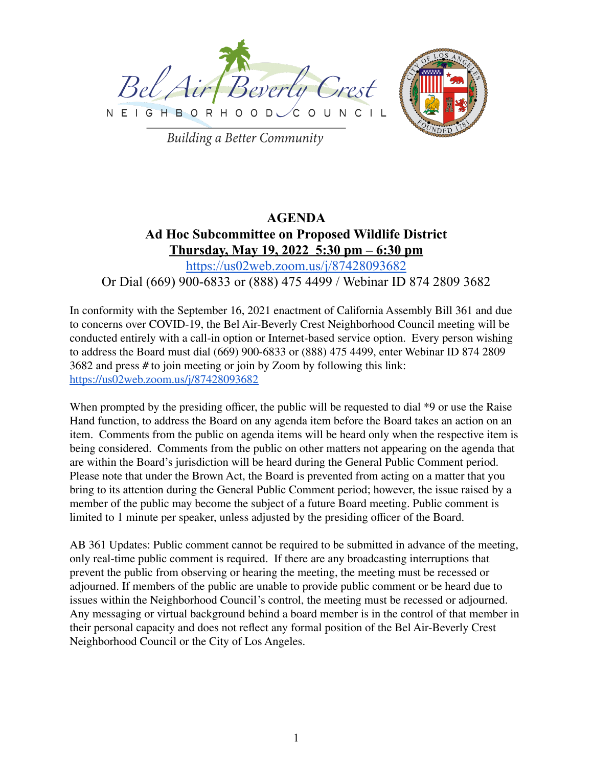



**Building a Better Community** 

# **AGENDA Ad Hoc Subcommittee on Proposed Wildlife District Thursday, May 19, 2022 5:30 pm – 6:30 pm** <https://us02web.zoom.us/j/87428093682>

# Or Dial (669) 900-6833 or (888) 475 4499 / Webinar ID 874 2809 3682

In conformity with the September 16, 2021 enactment of California Assembly Bill 361 and due to concerns over COVID-19, the Bel Air-Beverly Crest Neighborhood Council meeting will be conducted entirely with a call-in option or Internet-based service option. Every person wishing to address the Board must dial (669) 900-6833 or (888) 475 4499, enter Webinar ID 874 2809 3682 and press # to join meeting or join by Zoom by following this link: <https://us02web.zoom.us/j/87428093682>

When prompted by the presiding officer, the public will be requested to dial  $*9$  or use the Raise Hand function, to address the Board on any agenda item before the Board takes an action on an item. Comments from the public on agenda items will be heard only when the respective item is being considered. Comments from the public on other matters not appearing on the agenda that are within the Board's jurisdiction will be heard during the General Public Comment period. Please note that under the Brown Act, the Board is prevented from acting on a matter that you bring to its attention during the General Public Comment period; however, the issue raised by a member of the public may become the subject of a future Board meeting. Public comment is limited to 1 minute per speaker, unless adjusted by the presiding officer of the Board.

AB 361 Updates: Public comment cannot be required to be submitted in advance of the meeting, only real-time public comment is required. If there are any broadcasting interruptions that prevent the public from observing or hearing the meeting, the meeting must be recessed or adjourned. If members of the public are unable to provide public comment or be heard due to issues within the Neighborhood Council's control, the meeting must be recessed or adjourned. Any messaging or virtual background behind a board member is in the control of that member in their personal capacity and does not reflect any formal position of the Bel Air-Beverly Crest Neighborhood Council or the City of Los Angeles.